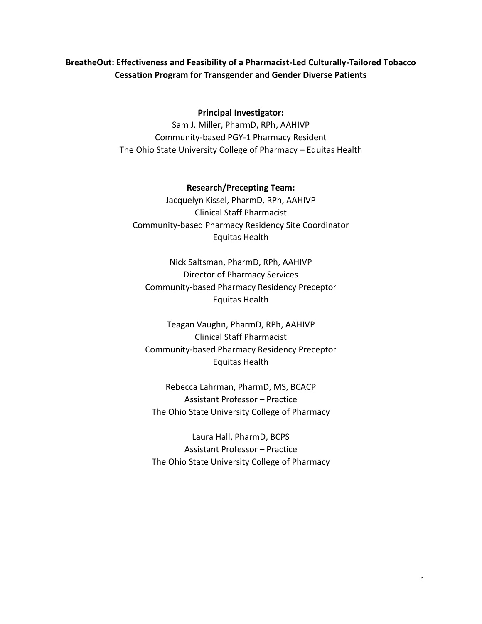## **BreatheOut: Effectiveness and Feasibility of a Pharmacist-Led Culturally-Tailored Tobacco Cessation Program for Transgender and Gender Diverse Patients**

## **Principal Investigator:**

Sam J. Miller, PharmD, RPh, AAHIVP Community-based PGY-1 Pharmacy Resident The Ohio State University College of Pharmacy – Equitas Health

**Research/Precepting Team:** Jacquelyn Kissel, PharmD, RPh, AAHIVP Clinical Staff Pharmacist Community-based Pharmacy Residency Site Coordinator Equitas Health

Nick Saltsman, PharmD, RPh, AAHIVP Director of Pharmacy Services Community-based Pharmacy Residency Preceptor Equitas Health

Teagan Vaughn, PharmD, RPh, AAHIVP Clinical Staff Pharmacist Community-based Pharmacy Residency Preceptor Equitas Health

Rebecca Lahrman, PharmD, MS, BCACP Assistant Professor – Practice The Ohio State University College of Pharmacy

Laura Hall, PharmD, BCPS Assistant Professor – Practice The Ohio State University College of Pharmacy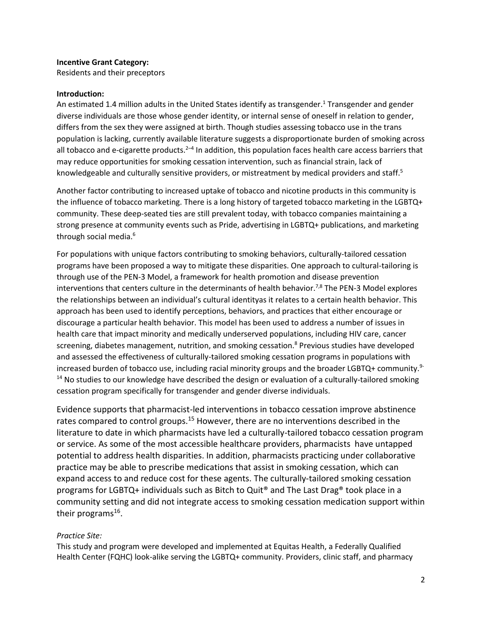#### **Incentive Grant Category:**

Residents and their preceptors

#### **Introduction:**

An estimated 1.4 million adults in the United States identify as transgender.<sup>1</sup> Transgender and gender diverse individuals are those whose gender identity, or internal sense of oneself in relation to gender, differs from the sex they were assigned at birth. Though studies assessing tobacco use in the trans population is lacking, currently available literature suggests a disproportionate burden of smoking across all tobacco and e-cigarette products.<sup>2-4</sup> In addition, this population faces health care access barriers that may reduce opportunities for smoking cessation intervention, such as financial strain, lack of knowledgeable and culturally sensitive providers, or mistreatment by medical providers and staff.<sup>5</sup>

Another factor contributing to increased uptake of tobacco and nicotine products in this community is the influence of tobacco marketing. There is a long history of targeted tobacco marketing in the LGBTQ+ community. These deep-seated ties are still prevalent today, with tobacco companies maintaining a strong presence at community events such as Pride, advertising in LGBTQ+ publications, and marketing through social media.<sup>6</sup>

For populations with unique factors contributing to smoking behaviors, culturally-tailored cessation programs have been proposed a way to mitigate these disparities. One approach to cultural-tailoring is through use of the PEN-3 Model, a framework for health promotion and disease prevention interventions that centers culture in the determinants of health behavior.<sup>7,8</sup> The PEN-3 Model explores the relationships between an individual's cultural identityas it relates to a certain health behavior. This approach has been used to identify perceptions, behaviors, and practices that either encourage or discourage a particular health behavior. This model has been used to address a number of issues in health care that impact minority and medically underserved populations, including HIV care, cancer screening, diabetes management, nutrition, and smoking cessation.<sup>8</sup> Previous studies have developed and assessed the effectiveness of culturally-tailored smoking cessation programs in populations with increased burden of tobacco use, including racial minority groups and the broader LGBTQ+ community.<sup>9-</sup>  $14$  No studies to our knowledge have described the design or evaluation of a culturally-tailored smoking cessation program specifically for transgender and gender diverse individuals.

Evidence supports that pharmacist-led interventions in tobacco cessation improve abstinence rates compared to control groups.<sup>15</sup> However, there are no interventions described in the literature to date in which pharmacists have led a culturally-tailored tobacco cessation program or service. As some of the most accessible healthcare providers, pharmacists have untapped potential to address health disparities. In addition, pharmacists practicing under collaborative practice may be able to prescribe medications that assist in smoking cessation, which can expand access to and reduce cost for these agents. The culturally-tailored smoking cessation programs for LGBTQ+ individuals such as Bitch to Quit® and The Last Drag® took place in a community setting and did not integrate access to smoking cessation medication support within their programs<sup>16</sup>.

#### *Practice Site:*

This study and program were developed and implemented at Equitas Health, a Federally Qualified Health Center (FQHC) look-alike serving the LGBTQ+ community. Providers, clinic staff, and pharmacy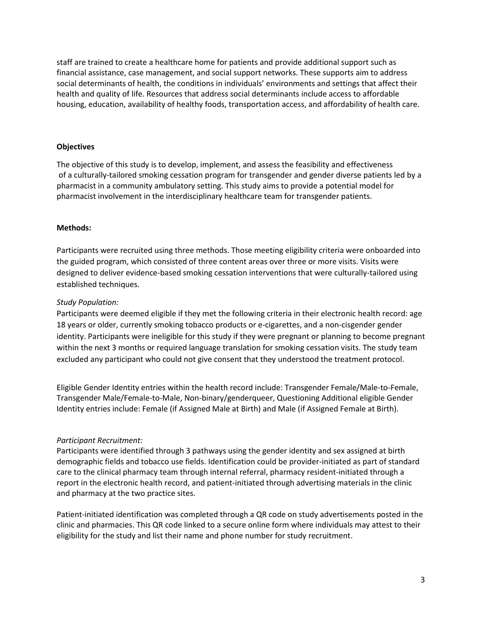staff are trained to create a healthcare home for patients and provide additional support such as financial assistance, case management, and social support networks. These supports aim to address social determinants of health, the conditions in individuals' environments and settings that affect their health and quality of life. Resources that address social determinants include access to affordable housing, education, availability of healthy foods, transportation access, and affordability of health care.

#### **Objectives**

The objective of this study is to develop, implement, and assess the feasibility and effectiveness of a culturally-tailored smoking cessation program for transgender and gender diverse patients led by a pharmacist in a community ambulatory setting. This study aims to provide a potential model for pharmacist involvement in the interdisciplinary healthcare team for transgender patients.

### **Methods:**

Participants were recruited using three methods. Those meeting eligibility criteria were onboarded into the guided program, which consisted of three content areas over three or more visits. Visits were designed to deliver evidence-based smoking cessation interventions that were culturally-tailored using established techniques.

### *Study Population:*

Participants were deemed eligible if they met the following criteria in their electronic health record: age 18 years or older, currently smoking tobacco products or e-cigarettes, and a non-cisgender gender identity. Participants were ineligible for this study if they were pregnant or planning to become pregnant within the next 3 months or required language translation for smoking cessation visits. The study team excluded any participant who could not give consent that they understood the treatment protocol.

Eligible Gender Identity entries within the health record include: Transgender Female/Male-to-Female, Transgender Male/Female-to-Male, Non-binary/genderqueer, Questioning Additional eligible Gender Identity entries include: Female (if Assigned Male at Birth) and Male (if Assigned Female at Birth).

## *Participant Recruitment:*

Participants were identified through 3 pathways using the gender identity and sex assigned at birth demographic fields and tobacco use fields. Identification could be provider-initiated as part of standard care to the clinical pharmacy team through internal referral, pharmacy resident-initiated through a report in the electronic health record, and patient-initiated through advertising materials in the clinic and pharmacy at the two practice sites.

Patient-initiated identification was completed through a QR code on study advertisements posted in the clinic and pharmacies. This QR code linked to a secure online form where individuals may attest to their eligibility for the study and list their name and phone number for study recruitment.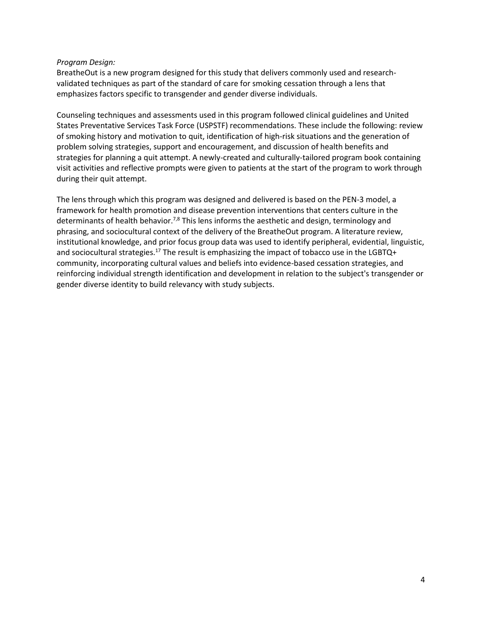#### *Program Design:*

BreatheOut is a new program designed for this study that delivers commonly used and researchvalidated techniques as part of the standard of care for smoking cessation through a lens that emphasizes factors specific to transgender and gender diverse individuals.

Counseling techniques and assessments used in this program followed clinical guidelines and United States Preventative Services Task Force (USPSTF) recommendations. These include the following: review of smoking history and motivation to quit, identification of high-risk situations and the generation of problem solving strategies, support and encouragement, and discussion of health benefits and strategies for planning a quit attempt. A newly-created and culturally-tailored program book containing visit activities and reflective prompts were given to patients at the start of the program to work through during their quit attempt.

The lens through which this program was designed and delivered is based on the PEN-3 model, a framework for health promotion and disease prevention interventions that centers culture in the determinants of health behavior.<sup>7,8</sup> This lens informs the aesthetic and design, terminology and phrasing, and sociocultural context of the delivery of the BreatheOut program. A literature review, institutional knowledge, and prior focus group data was used to identify peripheral, evidential, linguistic, and sociocultural strategies.<sup>17</sup> The result is emphasizing the impact of tobacco use in the LGBTQ+ community, incorporating cultural values and beliefs into evidence-based cessation strategies, and reinforcing individual strength identification and development in relation to the subject's transgender or gender diverse identity to build relevancy with study subjects.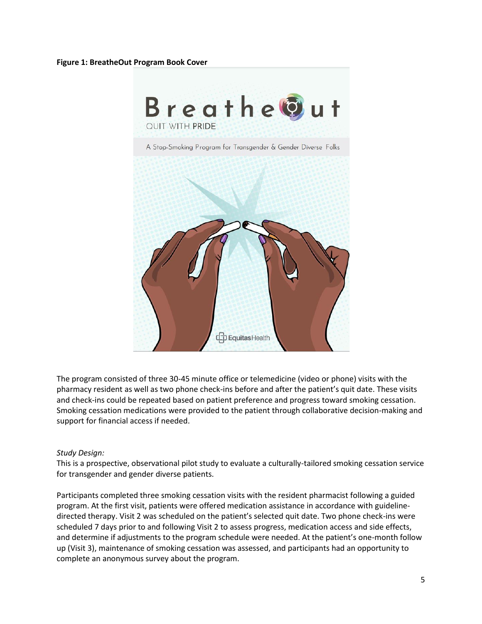#### **Figure 1: BreatheOut Program Book Cover**



The program consisted of three 30-45 minute office or telemedicine (video or phone) visits with the pharmacy resident as well as two phone check-ins before and after the patient's quit date. These visits and check-ins could be repeated based on patient preference and progress toward smoking cessation. Smoking cessation medications were provided to the patient through collaborative decision-making and support for financial access if needed.

#### *Study Design:*

This is a prospective, observational pilot study to evaluate a culturally-tailored smoking cessation service for transgender and gender diverse patients.

Participants completed three smoking cessation visits with the resident pharmacist following a guided program. At the first visit, patients were offered medication assistance in accordance with guidelinedirected therapy. Visit 2 was scheduled on the patient's selected quit date. Two phone check-ins were scheduled 7 days prior to and following Visit 2 to assess progress, medication access and side effects, and determine if adjustments to the program schedule were needed. At the patient's one-month follow up (Visit 3), maintenance of smoking cessation was assessed, and participants had an opportunity to complete an anonymous survey about the program.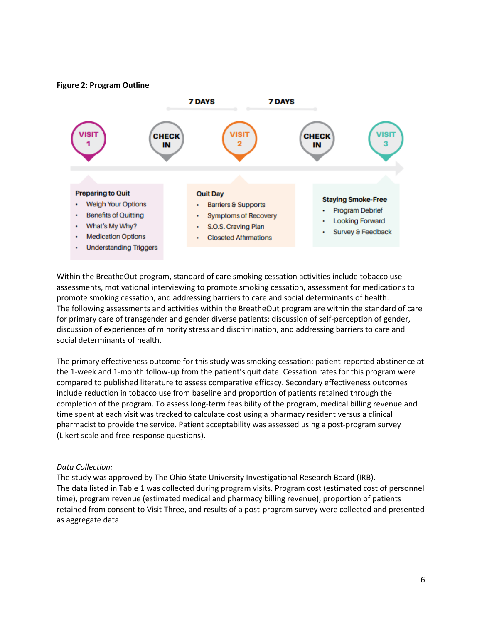**Figure 2: Program Outline**



Within the BreatheOut program, standard of care smoking cessation activities include tobacco use assessments, motivational interviewing to promote smoking cessation, assessment for medications to promote smoking cessation, and addressing barriers to care and social determinants of health. The following assessments and activities within the BreatheOut program are within the standard of care for primary care of transgender and gender diverse patients: discussion of self-perception of gender, discussion of experiences of minority stress and discrimination, and addressing barriers to care and social determinants of health.

The primary effectiveness outcome for this study was smoking cessation: patient-reported abstinence at the 1-week and 1-month follow-up from the patient's quit date. Cessation rates for this program were compared to published literature to assess comparative efficacy. Secondary effectiveness outcomes include reduction in tobacco use from baseline and proportion of patients retained through the completion of the program. To assess long-term feasibility of the program, medical billing revenue and time spent at each visit was tracked to calculate cost using a pharmacy resident versus a clinical pharmacist to provide the service. Patient acceptability was assessed using a post-program survey (Likert scale and free-response questions).

#### *Data Collection:*

The study was approved by The Ohio State University Investigational Research Board (IRB). The data listed in Table 1 was collected during program visits. Program cost (estimated cost of personnel time), program revenue (estimated medical and pharmacy billing revenue), proportion of patients retained from consent to Visit Three, and results of a post-program survey were collected and presented as aggregate data.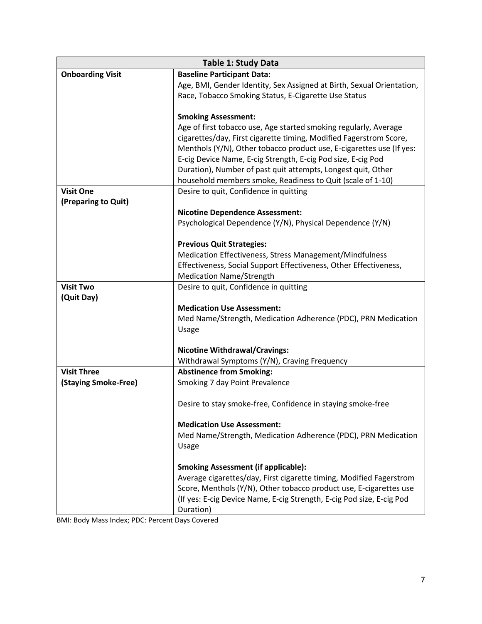| <b>Table 1: Study Data</b> |                                                                       |  |  |  |
|----------------------------|-----------------------------------------------------------------------|--|--|--|
| <b>Onboarding Visit</b>    | <b>Baseline Participant Data:</b>                                     |  |  |  |
|                            | Age, BMI, Gender Identity, Sex Assigned at Birth, Sexual Orientation, |  |  |  |
|                            | Race, Tobacco Smoking Status, E-Cigarette Use Status                  |  |  |  |
|                            |                                                                       |  |  |  |
|                            | <b>Smoking Assessment:</b>                                            |  |  |  |
|                            | Age of first tobacco use, Age started smoking regularly, Average      |  |  |  |
|                            | cigarettes/day, First cigarette timing, Modified Fagerstrom Score,    |  |  |  |
|                            | Menthols (Y/N), Other tobacco product use, E-cigarettes use (If yes:  |  |  |  |
|                            | E-cig Device Name, E-cig Strength, E-cig Pod size, E-cig Pod          |  |  |  |
|                            | Duration), Number of past quit attempts, Longest quit, Other          |  |  |  |
|                            | household members smoke, Readiness to Quit (scale of 1-10)            |  |  |  |
| <b>Visit One</b>           | Desire to quit, Confidence in quitting                                |  |  |  |
| (Preparing to Quit)        |                                                                       |  |  |  |
|                            | <b>Nicotine Dependence Assessment:</b>                                |  |  |  |
|                            | Psychological Dependence (Y/N), Physical Dependence (Y/N)             |  |  |  |
|                            | <b>Previous Quit Strategies:</b>                                      |  |  |  |
|                            | Medication Effectiveness, Stress Management/Mindfulness               |  |  |  |
|                            | Effectiveness, Social Support Effectiveness, Other Effectiveness,     |  |  |  |
|                            | <b>Medication Name/Strength</b>                                       |  |  |  |
| <b>Visit Two</b>           | Desire to quit, Confidence in quitting                                |  |  |  |
| (Quit Day)                 |                                                                       |  |  |  |
|                            | <b>Medication Use Assessment:</b>                                     |  |  |  |
|                            | Med Name/Strength, Medication Adherence (PDC), PRN Medication         |  |  |  |
|                            | Usage                                                                 |  |  |  |
|                            |                                                                       |  |  |  |
|                            | <b>Nicotine Withdrawal/Cravings:</b>                                  |  |  |  |
|                            | Withdrawal Symptoms (Y/N), Craving Frequency                          |  |  |  |
| <b>Visit Three</b>         | <b>Abstinence from Smoking:</b>                                       |  |  |  |
| (Staying Smoke-Free)       | Smoking 7 day Point Prevalence                                        |  |  |  |
|                            |                                                                       |  |  |  |
|                            | Desire to stay smoke-free, Confidence in staying smoke-free           |  |  |  |
|                            |                                                                       |  |  |  |
|                            | <b>Medication Use Assessment:</b>                                     |  |  |  |
|                            | Med Name/Strength, Medication Adherence (PDC), PRN Medication         |  |  |  |
|                            | Usage                                                                 |  |  |  |
|                            | <b>Smoking Assessment (if applicable):</b>                            |  |  |  |
|                            | Average cigarettes/day, First cigarette timing, Modified Fagerstrom   |  |  |  |
|                            | Score, Menthols (Y/N), Other tobacco product use, E-cigarettes use    |  |  |  |
|                            | (If yes: E-cig Device Name, E-cig Strength, E-cig Pod size, E-cig Pod |  |  |  |
|                            | Duration)                                                             |  |  |  |
|                            |                                                                       |  |  |  |

BMI: Body Mass Index; PDC: Percent Days Covered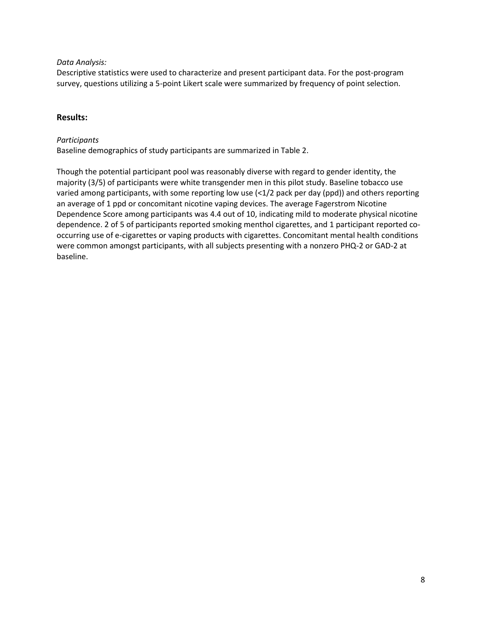#### *Data Analysis:*

Descriptive statistics were used to characterize and present participant data. For the post-program survey, questions utilizing a 5-point Likert scale were summarized by frequency of point selection.

## **Results:**

#### *Participants*

Baseline demographics of study participants are summarized in Table 2.

Though the potential participant pool was reasonably diverse with regard to gender identity, the majority (3/5) of participants were white transgender men in this pilot study. Baseline tobacco use varied among participants, with some reporting low use (<1/2 pack per day (ppd)) and others reporting an average of 1 ppd or concomitant nicotine vaping devices. The average Fagerstrom Nicotine Dependence Score among participants was 4.4 out of 10, indicating mild to moderate physical nicotine dependence. 2 of 5 of participants reported smoking menthol cigarettes, and 1 participant reported cooccurring use of e-cigarettes or vaping products with cigarettes. Concomitant mental health conditions were common amongst participants, with all subjects presenting with a nonzero PHQ-2 or GAD-2 at baseline.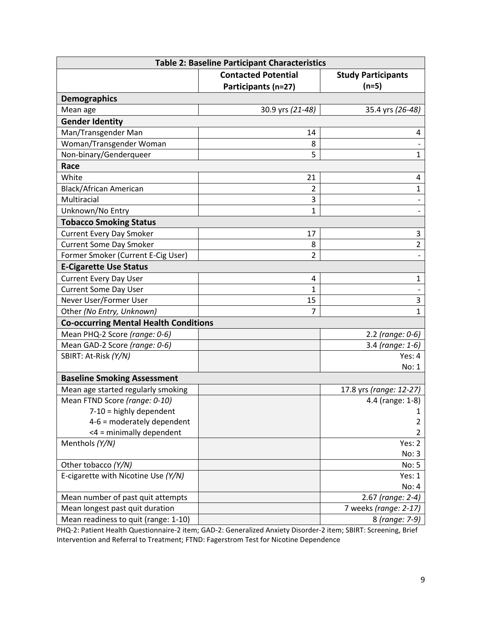| <b>Table 2: Baseline Participant Characteristics</b> |                            |                           |  |  |  |  |
|------------------------------------------------------|----------------------------|---------------------------|--|--|--|--|
|                                                      | <b>Contacted Potential</b> | <b>Study Participants</b> |  |  |  |  |
|                                                      | Participants (n=27)        | $(n=5)$                   |  |  |  |  |
| <b>Demographics</b>                                  |                            |                           |  |  |  |  |
| Mean age                                             | 30.9 yrs (21-48)           | 35.4 yrs (26-48)          |  |  |  |  |
| <b>Gender Identity</b>                               |                            |                           |  |  |  |  |
| Man/Transgender Man                                  | 14                         | 4                         |  |  |  |  |
| Woman/Transgender Woman                              | 8                          |                           |  |  |  |  |
| Non-binary/Genderqueer                               | 5                          | $\mathbf{1}$              |  |  |  |  |
| Race                                                 |                            |                           |  |  |  |  |
| White                                                | 21                         | 4                         |  |  |  |  |
| <b>Black/African American</b>                        | $\overline{2}$             | $\mathbf{1}$              |  |  |  |  |
| Multiracial                                          | 3                          | $\overline{\phantom{a}}$  |  |  |  |  |
| Unknown/No Entry                                     | $\mathbf{1}$               |                           |  |  |  |  |
| <b>Tobacco Smoking Status</b>                        |                            |                           |  |  |  |  |
| <b>Current Every Day Smoker</b>                      | 17                         | 3                         |  |  |  |  |
| <b>Current Some Day Smoker</b>                       | 8                          | $\overline{2}$            |  |  |  |  |
| Former Smoker (Current E-Cig User)                   | $\overline{2}$             |                           |  |  |  |  |
| <b>E-Cigarette Use Status</b>                        |                            |                           |  |  |  |  |
| <b>Current Every Day User</b>                        | 4                          | $\mathbf{1}$              |  |  |  |  |
| <b>Current Some Day User</b>                         | 1                          |                           |  |  |  |  |
| Never User/Former User                               | 15                         | 3                         |  |  |  |  |
| Other (No Entry, Unknown)                            | $\overline{7}$             | $\mathbf{1}$              |  |  |  |  |
| <b>Co-occurring Mental Health Conditions</b>         |                            |                           |  |  |  |  |
| Mean PHQ-2 Score (range: 0-6)                        |                            | $2.2$ (range: 0-6)        |  |  |  |  |
| Mean GAD-2 Score (range: 0-6)                        |                            | 3.4 (range: 1-6)          |  |  |  |  |
| SBIRT: At-Risk (Y/N)                                 |                            | Yes: 4                    |  |  |  |  |
|                                                      |                            | No: 1                     |  |  |  |  |
| <b>Baseline Smoking Assessment</b>                   |                            |                           |  |  |  |  |
| Mean age started regularly smoking                   |                            | 17.8 yrs (range: 12-27)   |  |  |  |  |
| Mean FTND Score (range: 0-10)                        |                            | 4.4 (range: 1-8)          |  |  |  |  |
| 7-10 = highly dependent                              |                            | $\mathbf{1}$              |  |  |  |  |
| $4-6$ = moderately dependent                         |                            | $\overline{2}$            |  |  |  |  |
| <4 = minimally dependent                             |                            | 2                         |  |  |  |  |
| Menthols (Y/N)                                       |                            | Yes: 2                    |  |  |  |  |
|                                                      |                            | No: 3                     |  |  |  |  |
| Other tobacco (Y/N)                                  |                            | No: 5                     |  |  |  |  |
| E-cigarette with Nicotine Use (Y/N)                  |                            | Yes: 1                    |  |  |  |  |
|                                                      |                            | No: 4                     |  |  |  |  |
| Mean number of past quit attempts                    |                            | 2.67 (range: 2-4)         |  |  |  |  |
| Mean longest past quit duration                      |                            | 7 weeks (range: 2-17)     |  |  |  |  |
| Mean readiness to quit (range: 1-10)                 |                            | 8 (range: 7-9)            |  |  |  |  |

PHQ-2: Patient Health Questionnaire-2 item; GAD-2: Generalized Anxiety Disorder-2 item; SBIRT: Screening, Brief Intervention and Referral to Treatment; FTND: Fagerstrom Test for Nicotine Dependence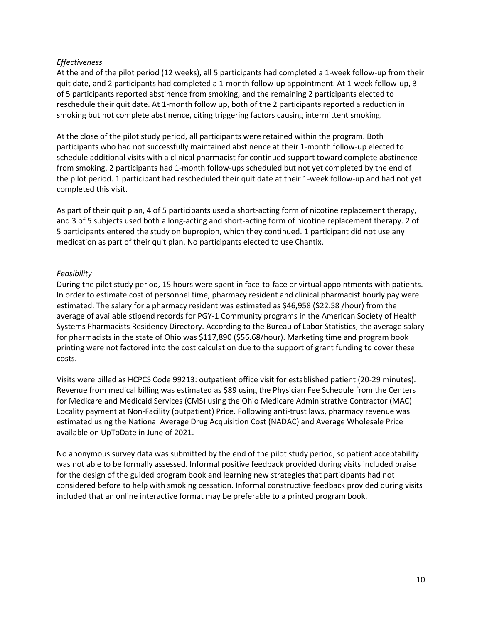#### *Effectiveness*

At the end of the pilot period (12 weeks), all 5 participants had completed a 1-week follow-up from their quit date, and 2 participants had completed a 1-month follow-up appointment. At 1-week follow-up, 3 of 5 participants reported abstinence from smoking, and the remaining 2 participants elected to reschedule their quit date. At 1-month follow up, both of the 2 participants reported a reduction in smoking but not complete abstinence, citing triggering factors causing intermittent smoking.

At the close of the pilot study period, all participants were retained within the program. Both participants who had not successfully maintained abstinence at their 1-month follow-up elected to schedule additional visits with a clinical pharmacist for continued support toward complete abstinence from smoking. 2 participants had 1-month follow-ups scheduled but not yet completed by the end of the pilot period. 1 participant had rescheduled their quit date at their 1-week follow-up and had not yet completed this visit.

As part of their quit plan, 4 of 5 participants used a short-acting form of nicotine replacement therapy, and 3 of 5 subjects used both a long-acting and short-acting form of nicotine replacement therapy. 2 of 5 participants entered the study on bupropion, which they continued. 1 participant did not use any medication as part of their quit plan. No participants elected to use Chantix.

### *Feasibility*

During the pilot study period, 15 hours were spent in face-to-face or virtual appointments with patients. In order to estimate cost of personnel time, pharmacy resident and clinical pharmacist hourly pay were estimated. The salary for a pharmacy resident was estimated as \$46,958 (\$22.58 /hour) from the average of available stipend records for PGY-1 Community programs in the American Society of Health Systems Pharmacists Residency Directory. According to the Bureau of Labor Statistics, the average salary for pharmacists in the state of Ohio was \$117,890 (\$56.68/hour). Marketing time and program book printing were not factored into the cost calculation due to the support of grant funding to cover these costs.

Visits were billed as HCPCS Code 99213: outpatient office visit for established patient (20-29 minutes). Revenue from medical billing was estimated as \$89 using the Physician Fee Schedule from the Centers for Medicare and Medicaid Services (CMS) using the Ohio Medicare Administrative Contractor (MAC) Locality payment at Non-Facility (outpatient) Price. Following anti-trust laws, pharmacy revenue was estimated using the National Average Drug Acquisition Cost (NADAC) and Average Wholesale Price available on UpToDate in June of 2021.

No anonymous survey data was submitted by the end of the pilot study period, so patient acceptability was not able to be formally assessed. Informal positive feedback provided during visits included praise for the design of the guided program book and learning new strategies that participants had not considered before to help with smoking cessation. Informal constructive feedback provided during visits included that an online interactive format may be preferable to a printed program book.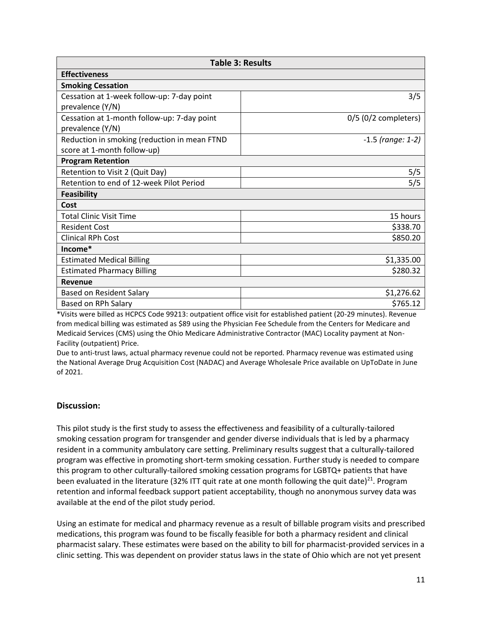| <b>Table 3: Results</b>                      |                        |  |  |  |
|----------------------------------------------|------------------------|--|--|--|
| <b>Effectiveness</b>                         |                        |  |  |  |
| <b>Smoking Cessation</b>                     |                        |  |  |  |
| Cessation at 1-week follow-up: 7-day point   | 3/5                    |  |  |  |
| prevalence (Y/N)                             |                        |  |  |  |
| Cessation at 1-month follow-up: 7-day point  | $0/5$ (0/2 completers) |  |  |  |
| prevalence (Y/N)                             |                        |  |  |  |
| Reduction in smoking (reduction in mean FTND | $-1.5$ (range: 1-2)    |  |  |  |
| score at 1-month follow-up)                  |                        |  |  |  |
| <b>Program Retention</b>                     |                        |  |  |  |
| Retention to Visit 2 (Quit Day)              | 5/5                    |  |  |  |
| Retention to end of 12-week Pilot Period     | 5/5                    |  |  |  |
| <b>Feasibility</b>                           |                        |  |  |  |
| Cost                                         |                        |  |  |  |
| <b>Total Clinic Visit Time</b>               | 15 hours               |  |  |  |
| <b>Resident Cost</b>                         | \$338.70               |  |  |  |
| <b>Clinical RPh Cost</b>                     | \$850.20               |  |  |  |
| Income*                                      |                        |  |  |  |
| <b>Estimated Medical Billing</b>             | \$1,335.00             |  |  |  |
| <b>Estimated Pharmacy Billing</b>            | \$280.32               |  |  |  |
| Revenue                                      |                        |  |  |  |
| <b>Based on Resident Salary</b>              | \$1,276.62             |  |  |  |
| Based on RPh Salary                          | \$765.12               |  |  |  |

\*Visits were billed as HCPCS Code 99213: outpatient office visit for established patient (20-29 minutes). Revenue from medical billing was estimated as \$89 using the Physician Fee Schedule from the Centers for Medicare and Medicaid Services (CMS) using the Ohio Medicare Administrative Contractor (MAC) Locality payment at Non-Facility (outpatient) Price.

Due to anti-trust laws, actual pharmacy revenue could not be reported. Pharmacy revenue was estimated using the National Average Drug Acquisition Cost (NADAC) and Average Wholesale Price available on UpToDate in June of 2021.

#### **Discussion:**

This pilot study is the first study to assess the effectiveness and feasibility of a culturally-tailored smoking cessation program for transgender and gender diverse individuals that is led by a pharmacy resident in a community ambulatory care setting. Preliminary results suggest that a culturally-tailored program was effective in promoting short-term smoking cessation. Further study is needed to compare this program to other culturally-tailored smoking cessation programs for LGBTQ+ patients that have been evaluated in the literature (32% ITT quit rate at one month following the quit date)<sup>21</sup>. Program retention and informal feedback support patient acceptability, though no anonymous survey data was available at the end of the pilot study period.

Using an estimate for medical and pharmacy revenue as a result of billable program visits and prescribed medications, this program was found to be fiscally feasible for both a pharmacy resident and clinical pharmacist salary. These estimates were based on the ability to bill for pharmacist-provided services in a clinic setting. This was dependent on provider status laws in the state of Ohio which are not yet present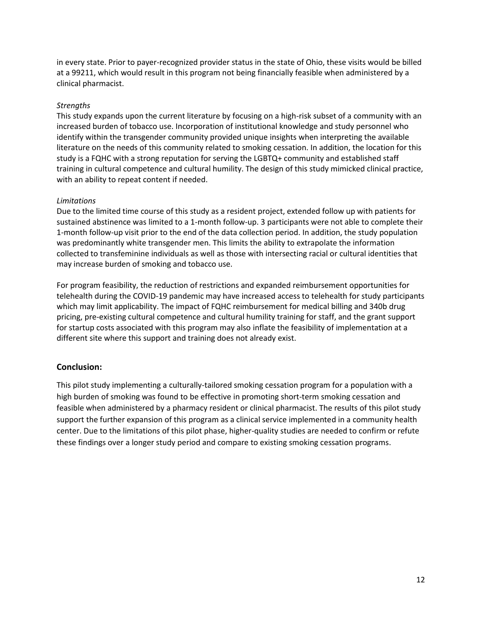in every state. Prior to payer-recognized provider status in the state of Ohio, these visits would be billed at a 99211, which would result in this program not being financially feasible when administered by a clinical pharmacist.

### *Strengths*

This study expands upon the current literature by focusing on a high-risk subset of a community with an increased burden of tobacco use. Incorporation of institutional knowledge and study personnel who identify within the transgender community provided unique insights when interpreting the available literature on the needs of this community related to smoking cessation. In addition, the location for this study is a FQHC with a strong reputation for serving the LGBTQ+ community and established staff training in cultural competence and cultural humility. The design of this study mimicked clinical practice, with an ability to repeat content if needed.

#### *Limitations*

Due to the limited time course of this study as a resident project, extended follow up with patients for sustained abstinence was limited to a 1-month follow-up. 3 participants were not able to complete their 1-month follow-up visit prior to the end of the data collection period. In addition, the study population was predominantly white transgender men. This limits the ability to extrapolate the information collected to transfeminine individuals as well as those with intersecting racial or cultural identities that may increase burden of smoking and tobacco use.

For program feasibility, the reduction of restrictions and expanded reimbursement opportunities for telehealth during the COVID-19 pandemic may have increased access to telehealth for study participants which may limit applicability. The impact of FQHC reimbursement for medical billing and 340b drug pricing, pre-existing cultural competence and cultural humility training for staff, and the grant support for startup costs associated with this program may also inflate the feasibility of implementation at a different site where this support and training does not already exist.

## **Conclusion:**

This pilot study implementing a culturally-tailored smoking cessation program for a population with a high burden of smoking was found to be effective in promoting short-term smoking cessation and feasible when administered by a pharmacy resident or clinical pharmacist. The results of this pilot study support the further expansion of this program as a clinical service implemented in a community health center. Due to the limitations of this pilot phase, higher-quality studies are needed to confirm or refute these findings over a longer study period and compare to existing smoking cessation programs.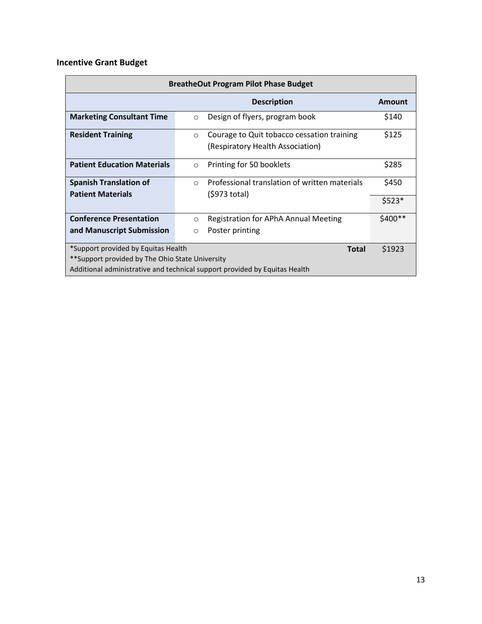# **Incentive Grant Budget**

| <b>BreatheOut Program Pilot Phase Budget</b>                                                                                                                                                   |                                                                                           |          |  |  |
|------------------------------------------------------------------------------------------------------------------------------------------------------------------------------------------------|-------------------------------------------------------------------------------------------|----------|--|--|
|                                                                                                                                                                                                | <b>Description</b>                                                                        | Amount   |  |  |
| <b>Marketing Consultant Time</b>                                                                                                                                                               | Design of flyers, program book<br>$\circ$                                                 | \$140    |  |  |
| <b>Resident Training</b>                                                                                                                                                                       | Courage to Quit tobacco cessation training<br>$\circ$<br>(Respiratory Health Association) | \$125    |  |  |
| <b>Patient Education Materials</b>                                                                                                                                                             | Printing for 50 booklets<br>$\circ$                                                       | \$285    |  |  |
| <b>Spanish Translation of</b><br><b>Patient Materials</b>                                                                                                                                      | Professional translation of written materials<br>$\circ$<br>(\$973 total)                 | \$450    |  |  |
|                                                                                                                                                                                                |                                                                                           | $$523*$  |  |  |
| <b>Conference Presentation</b>                                                                                                                                                                 | Registration for APhA Annual Meeting<br>$\circ$                                           | \$400 ** |  |  |
| and Manuscript Submission                                                                                                                                                                      | Poster printing<br>$\circ$                                                                |          |  |  |
| *Support provided by Equitas Health<br>\$1923<br><b>Total</b><br>**Support provided by The Ohio State University<br>Additional administrative and technical support provided by Equitas Health |                                                                                           |          |  |  |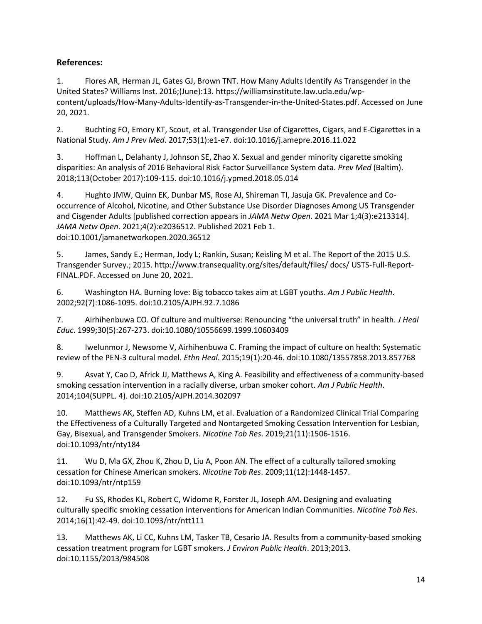# **References:**

1. Flores AR, Herman JL, Gates GJ, Brown TNT. How Many Adults Identify As Transgender in the United States? Williams Inst. 2016;(June):13. https://williamsinstitute.law.ucla.edu/wpcontent/uploads/How-Many-Adults-Identify-as-Transgender-in-the-United-States.pdf. Accessed on June 20, 2021.

2. Buchting FO, Emory KT, Scout, et al. Transgender Use of Cigarettes, Cigars, and E-Cigarettes in a National Study. *Am J Prev Med*. 2017;53(1):e1-e7. doi:10.1016/j.amepre.2016.11.022

3. Hoffman L, Delahanty J, Johnson SE, Zhao X. Sexual and gender minority cigarette smoking disparities: An analysis of 2016 Behavioral Risk Factor Surveillance System data. *Prev Med* (Baltim). 2018;113(October 2017):109-115. doi:10.1016/j.ypmed.2018.05.014

4. Hughto JMW, Quinn EK, Dunbar MS, Rose AJ, Shireman TI, Jasuja GK. Prevalence and Cooccurrence of Alcohol, Nicotine, and Other Substance Use Disorder Diagnoses Among US Transgender and Cisgender Adults [published correction appears in *JAMA Netw Open*. 2021 Mar 1;4(3):e213314]. *JAMA Netw Open*. 2021;4(2):e2036512. Published 2021 Feb 1. doi:10.1001/jamanetworkopen.2020.36512

5. James, Sandy E.; Herman, Jody L; Rankin, Susan; Keisling M et al. The Report of the 2015 U.S. Transgender Survey.; 2015. http://www.transequality.org/sites/default/files/ docs/ USTS-Full-Report-FINAL.PDF. Accessed on June 20, 2021.

6. Washington HA. Burning love: Big tobacco takes aim at LGBT youths. *Am J Public Health*. 2002;92(7):1086-1095. doi:10.2105/AJPH.92.7.1086

7. Airhihenbuwa CO. Of culture and multiverse: Renouncing "the universal truth" in health. *J Heal Educ*. 1999;30(5):267-273. doi:10.1080/10556699.1999.10603409

8. Iwelunmor J, Newsome V, Airhihenbuwa C. Framing the impact of culture on health: Systematic review of the PEN-3 cultural model. *Ethn Heal*. 2015;19(1):20-46. doi:10.1080/13557858.2013.857768

9. Asvat Y, Cao D, Africk JJ, Matthews A, King A. Feasibility and effectiveness of a community-based smoking cessation intervention in a racially diverse, urban smoker cohort. *Am J Public Health*. 2014;104(SUPPL. 4). doi:10.2105/AJPH.2014.302097

10. Matthews AK, Steffen AD, Kuhns LM, et al. Evaluation of a Randomized Clinical Trial Comparing the Effectiveness of a Culturally Targeted and Nontargeted Smoking Cessation Intervention for Lesbian, Gay, Bisexual, and Transgender Smokers. *Nicotine Tob Res*. 2019;21(11):1506-1516. doi:10.1093/ntr/nty184

11. Wu D, Ma GX, Zhou K, Zhou D, Liu A, Poon AN. The effect of a culturally tailored smoking cessation for Chinese American smokers. *Nicotine Tob Res*. 2009;11(12):1448-1457. doi:10.1093/ntr/ntp159

12. Fu SS, Rhodes KL, Robert C, Widome R, Forster JL, Joseph AM. Designing and evaluating culturally specific smoking cessation interventions for American Indian Communities. *Nicotine Tob Res*. 2014;16(1):42-49. doi:10.1093/ntr/ntt111

13. Matthews AK, Li CC, Kuhns LM, Tasker TB, Cesario JA. Results from a community-based smoking cessation treatment program for LGBT smokers. *J Environ Public Health*. 2013;2013. doi:10.1155/2013/984508